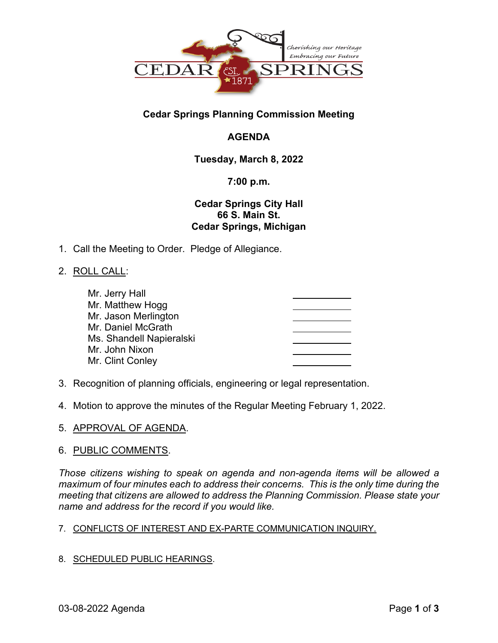

## **Cedar Springs Planning Commission Meeting**

# **AGENDA**

## **Tuesday, March 8, 2022**

### **7:00 p.m.**

### **Cedar Springs City Hall 66 S. Main St. Cedar Springs, Michigan**

1. Call the Meeting to Order. Pledge of Allegiance.

### 2. ROLL CALL:

| Mr. Jerry Hall           |  |
|--------------------------|--|
| Mr. Matthew Hogg         |  |
| Mr. Jason Merlington     |  |
| Mr. Daniel McGrath       |  |
| Ms. Shandell Napieralski |  |
| Mr. John Nixon           |  |
| Mr. Clint Conley         |  |
|                          |  |

- 3. Recognition of planning officials, engineering or legal representation.
- 4. Motion to approve the minutes of the Regular Meeting February 1, 2022.
- 5. APPROVAL OF AGENDA.

#### 6. PUBLIC COMMENTS.

*Those citizens wishing to speak on agenda and non-agenda items will be allowed a maximum of four minutes each to address their concerns. This is the only time during the meeting that citizens are allowed to address the Planning Commission. Please state your name and address for the record if you would like.*

#### 7. CONFLICTS OF INTEREST AND EX-PARTE COMMUNICATION INQUIRY.

8. SCHEDULED PUBLIC HEARINGS.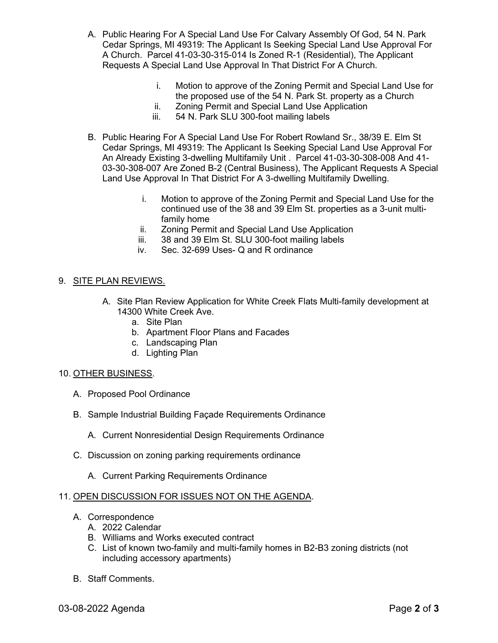- A. Public Hearing For A Special Land Use For Calvary Assembly Of God, 54 N. Park Cedar Springs, MI 49319: The Applicant Is Seeking Special Land Use Approval For A Church. Parcel 41-03-30-315-014 Is Zoned R-1 (Residential), The Applicant Requests A Special Land Use Approval In That District For A Church.
	- i. Motion to approve of the Zoning Permit and Special Land Use for the proposed use of the 54 N. Park St. property as a Church
	- ii. Zoning Permit and Special Land Use Application
	- iii. 54 N. Park SLU 300-foot mailing labels
- B. Public Hearing For A Special Land Use For Robert Rowland Sr., 38/39 E. Elm St Cedar Springs, MI 49319: The Applicant Is Seeking Special Land Use Approval For An Already Existing 3-dwelling Multifamily Unit . Parcel 41-03-30-308-008 And 41- 03-30-308-007 Are Zoned B-2 (Central Business), The Applicant Requests A Special Land Use Approval In That District For A 3-dwelling Multifamily Dwelling.
	- i. Motion to approve of the Zoning Permit and Special Land Use for the continued use of the 38 and 39 Elm St. properties as a 3-unit multifamily home
	- ii. Zoning Permit and Special Land Use Application<br>iii. 38 and 39 Elm St. SLU 300-foot mailing labels
	- 38 and 39 Elm St. SLU 300-foot mailing labels
	- iv. Sec. 32-699 Uses- Q and R ordinance

#### 9. SITE PLAN REVIEWS.

- A. Site Plan Review Application for White Creek Flats Multi-family development at 14300 White Creek Ave.
	- a. Site Plan
	- b. Apartment Floor Plans and Facades
	- c. Landscaping Plan
	- d. Lighting Plan

#### 10. OTHER BUSINESS.

- A. Proposed Pool Ordinance
- B. Sample Industrial Building Façade Requirements Ordinance
	- A. Current Nonresidential Design Requirements Ordinance
- C. Discussion on zoning parking requirements ordinance
	- A. Current Parking Requirements Ordinance

#### 11. OPEN DISCUSSION FOR ISSUES NOT ON THE AGENDA.

- A. Correspondence
	- A. 2022 Calendar
	- B. Williams and Works executed contract
	- C. List of known two-family and multi-family homes in B2-B3 zoning districts (not including accessory apartments)
- B. Staff Comments.